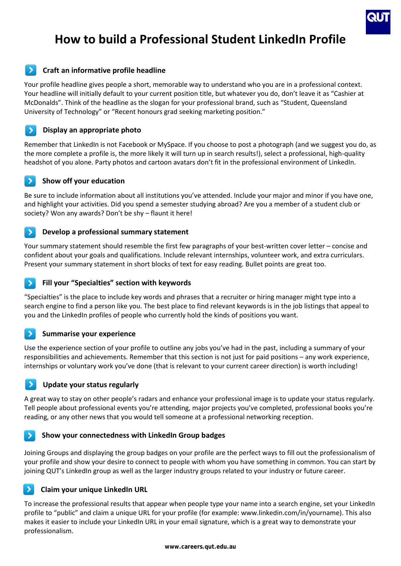

# **How to build a Professional Student LinkedIn Profile**

### **Craft an informative profile headline**

Your profile headline gives people a short, memorable way to understand who you are in a professional context. Your headline will initially default to your current position title, but whatever you do, don't leave it as "Cashier at McDonalds". Think of the headline as the slogan for your professional brand, such as "Student, Queensland University of Technology" or "Recent honours grad seeking marketing position."

#### $\rightarrow$ **Display an appropriate photo**

Remember that LinkedIn is not Facebook or MySpace. If you choose to post a photograph (and we suggest you do, as the more complete a profile is, the more likely it will turn up in search results!), select a professional, high-quality headshot of you alone. Party photos and cartoon avatars don't fit in the professional environment of LinkedIn.

#### $\rightarrow$ **Show off your education**

Be sure to include information about all institutions you've attended. Include your major and minor if you have one, and highlight your activities. Did you spend a semester studying abroad? Are you a member of a student club or society? Won any awards? Don't be shy – flaunt it here!

#### ゝ **Develop a professional summary statement**

Your summary statement should resemble the first few paragraphs of your best-written cover letter – concise and confident about your goals and qualifications. Include relevant internships, volunteer work, and extra curriculars. Present your summary statement in short blocks of text for easy reading. Bullet points are great too.

#### $\rightarrow$ **Fill your "Specialties" section with keywords**

"Specialties" is the place to include key words and phrases that a recruiter or hiring manager might type into a search engine to find a person like you. The best place to find relevant keywords is in the job listings that appeal to you and the LinkedIn profiles of people who currently hold the kinds of positions you want.

#### $\rightarrow$ **Summarise your experience**

Use the experience section of your profile to outline any jobs you've had in the past, including a summary of your responsibilities and achievements. Remember that this section is not just for paid positions – any work experience, internships or voluntary work you've done (that is relevant to your current career direction) is worth including!

### **Update your status regularly**

 $\rightarrow$ 

A great way to stay on other people's radars and enhance your professional image is to update your status regularly. Tell people about professional events you're attending, major projects you've completed, professional books you're reading, or any other news that you would tell someone at a professional networking reception.

#### **Show your connectedness with LinkedIn Group badges** ⋗

Joining Groups and displaying the group badges on your profile are the perfect ways to fill out the professionalism of your profile and show your desire to connect to people with whom you have something in common. You can start by joining QUT's LinkedIn group as well as the larger industry groups related to your industry or future career.

#### ⋗ **Claim your unique LinkedIn URL**

To increase the professional results that appear when people type your name into a search engine, set your LinkedIn profile to "public" and claim a unique URL for your profile (for example: www.linkedin.com/in/yourname). This also makes it easier to include your LinkedIn URL in your email signature, which is a great way to demonstrate your professionalism.